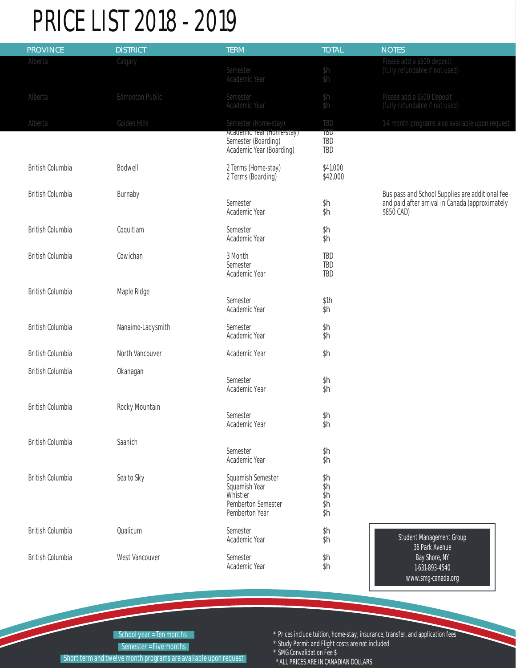## PRICE LIST 2018 - 2019

| <b>PROVINCE</b>         | <b>DISTRICT</b>        | <b>TERM</b>                                                                                          | <b>TOTAL</b>                    | <b>NOTES</b>                                                                                                     |
|-------------------------|------------------------|------------------------------------------------------------------------------------------------------|---------------------------------|------------------------------------------------------------------------------------------------------------------|
| Alberta                 | Calgary                | Semester<br>Academic Year                                                                            | \$h<br>\$h                      | Please add a \$500 deposit<br>(fully refundable if not used)                                                     |
| Alberta                 | <b>Edmonton Public</b> | Semester<br>Academic Year                                                                            | \$h<br>\$h                      | Please add a \$500 Deposit<br>(fully refundable if not used)                                                     |
| Alberta                 | Golden Hills           | Semester (Home-stay)<br>Academic Year (Home-stay)<br>Semester (Boarding)<br>Academic Year (Boarding) | TBD<br>TBD<br>TBD<br>TBD        | 1-4 month programs also available upon request                                                                   |
| <b>British Columbia</b> | Bodwell                | 2 Terms (Home-stay)<br>2 Terms (Boarding)                                                            | \$41,000<br>\$42,000            |                                                                                                                  |
| <b>British Columbia</b> | Burnaby                | Semester<br>Academic Year                                                                            | \$h<br>\$h                      | Bus pass and School Supplies are additional fee<br>and paid after arrival in Canada (approximately<br>\$850 CAD) |
| <b>British Columbia</b> | Coquitlam              | Semester<br>Academic Year                                                                            | \$h<br>\$h                      |                                                                                                                  |
| <b>British Columbia</b> | Cowichan               | 3 Month<br>Semester<br>Academic Year                                                                 | TBD<br>TBD<br>TBD               |                                                                                                                  |
| <b>British Columbia</b> | Maple Ridge            | Semester<br>Academic Year                                                                            | \$1h<br>\$h                     |                                                                                                                  |
| <b>British Columbia</b> | Nanaimo-Ladysmith      | Semester<br>Academic Year                                                                            | \$h<br>\$h                      |                                                                                                                  |
| <b>British Columbia</b> | North Vancouver        | Academic Year                                                                                        | \$h                             |                                                                                                                  |
| <b>British Columbia</b> | <b>Okanagan</b>        | Semester<br>Academic Year                                                                            | \$h<br>\$h                      |                                                                                                                  |
| <b>British Columbia</b> | Rocky Mountain         | Semester<br>Academic Year                                                                            | \$h<br>\$h                      |                                                                                                                  |
| <b>British Columbia</b> | Saanich                | Semester<br>Academic Year                                                                            | \$h<br>\$h                      |                                                                                                                  |
| <b>British Columbia</b> | Sea to Sky             | Squamish Semester<br>Squamish Year<br>Whistler<br>Pemberton Semester<br>Pemberton Year               | \$h<br>\$h<br>\$h<br>\$h<br>\$h |                                                                                                                  |
| <b>British Columbia</b> | Qualicum               | Semester<br>Academic Year                                                                            | \$h<br>\$h                      | Student Management Group<br>36 Park Avenue                                                                       |
| <b>British Columbia</b> | West Vancouver         | Semester<br>Academic Year                                                                            | \$h<br>\$h                      | Bay Shore, NY<br>1-631-893-4540<br>www.smg-canada.org                                                            |

School year = Ten months \* Ten months \* Prices include tuition, home-stay, insurance, transfer, and application fees \* Study Permit and Flight costs are not included

Semester = Five months

Short term and twelve month programs are available upon request

\* SMG Convalidation Fee \$<br>\* ALL PRICES ARE IN CANADIAN DOLLARS